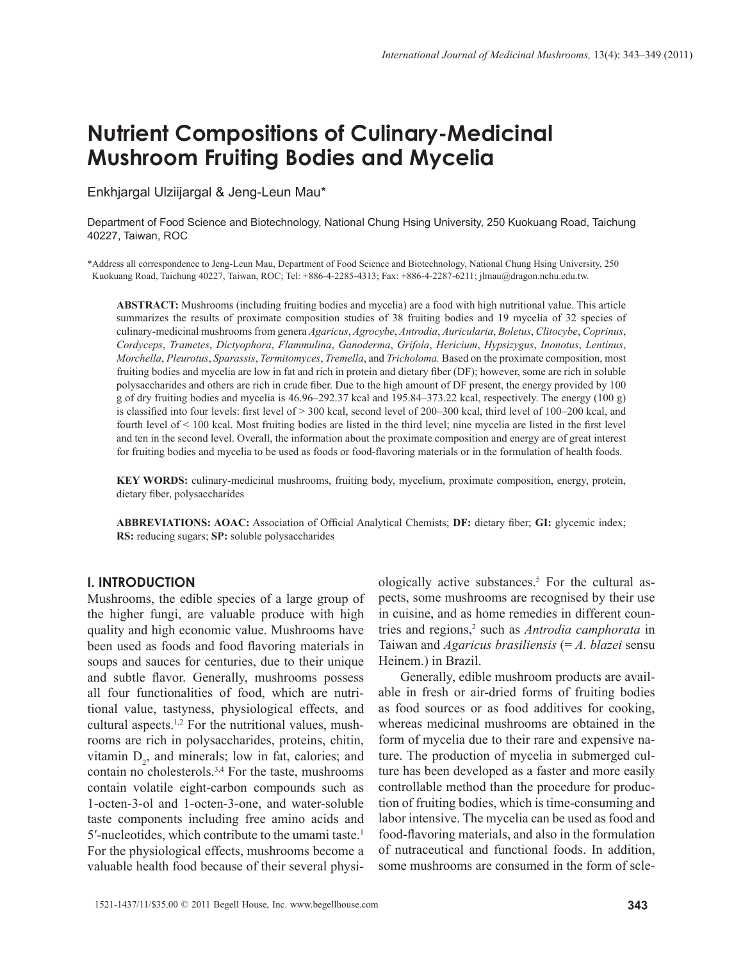# **Nutrient Compositions of Culinary-Medicinal Mushroom Fruiting Bodies and Mycelia**

Enkhjargal Ulziijargal & Jeng-Leun Mau\*

Department of Food Science and Biotechnology, National Chung Hsing University, 250 Kuokuang Road, Taichung 40227, Taiwan, ROC

\*Address all correspondence to Jeng-Leun Mau, Department of Food Science and Biotechnology, National Chung Hsing University, 250 Kuokuang Road, Taichung 40227, Taiwan, ROC; Tel: +886-4-2285-4313; Fax: +886-4-2287-6211; jlmau@dragon.nchu.edu.tw.

**ABSTRACT:** Mushrooms (including fruiting bodies and mycelia) are a food with high nutritional value. This article summarizes the results of proximate composition studies of 38 fruiting bodies and 19 mycelia of 32 species of culinary-medicinal mushrooms from genera *Agaricus*, *Agrocybe*, *Antrodia*, *Auricularia*, *Boletus*, *Clitocybe*, *Coprinus*, *Cordyceps*, *Trametes*, *Dictyophora*, *Flammulina*, *Ganoderma*, *Grifola*, *Hericium*, *Hypsizygus*, *Inonotus*, *Lentinus*, *Morchella*, *Pleurotus*, *Sparassis*, *Termitomyces*, *Tremella*, and *Tricholoma.* Based on the proximate composition, most fruiting bodies and mycelia are low in fat and rich in protein and dietary fiber (DF); however, some are rich in soluble polysaccharides and others are rich in crude fiber. Due to the high amount of DF present, the energy provided by 100 g of dry fruiting bodies and mycelia is 46.96–292.37 kcal and 195.84–373.22 kcal, respectively. The energy (100 g) is classified into four levels: first level of > 300 kcal, second level of 200–300 kcal, third level of 100–200 kcal, and fourth level of < 100 kcal. Most fruiting bodies are listed in the third level; nine mycelia are listed in the first level and ten in the second level. Overall, the information about the proximate composition and energy are of great interest for fruiting bodies and mycelia to be used as foods or food-flavoring materials or in the formulation of health foods.

**KEY WORDS:** culinary-medicinal mushrooms, fruiting body, mycelium, proximate composition, energy, protein, dietary fiber, polysaccharides

**ABBREVIATIONS: AOAC:** Association of Official Analytical Chemists; **DF:** dietary fiber; **GI:** glycemic index; **RS:** reducing sugars; **SP:** soluble polysaccharides

#### **I. INTRODUCTION**

Mushrooms, the edible species of a large group of the higher fungi, are valuable produce with high quality and high economic value. Mushrooms have been used as foods and food flavoring materials in soups and sauces for centuries, due to their unique and subtle flavor. Generally, mushrooms possess all four functionalities of food, which are nutritional value, tastyness, physiological effects, and cultural aspects.1,2 For the nutritional values, mushrooms are rich in polysaccharides, proteins, chitin, vitamin  $D_2$ , and minerals; low in fat, calories; and contain no cholesterols.3,4 For the taste, mushrooms contain volatile eight-carbon compounds such as 1-octen-3-ol and 1-octen-3-one, and water-soluble taste components including free amino acids and 5'-nucleotides, which contribute to the umami taste.<sup>1</sup> For the physiological effects, mushrooms become a valuable health food because of their several physi-

ologically active substances.<sup>5</sup> For the cultural aspects, some mushrooms are recognised by their use in cuisine, and as home remedies in different countries and regions, 2 such as *Antrodia camphorata* in Taiwan and *Agaricus brasiliensis* (= *A. blazei* sensu Heinem.) in Brazil.

Generally, edible mushroom products are available in fresh or air-dried forms of fruiting bodies as food sources or as food additives for cooking, whereas medicinal mushrooms are obtained in the form of mycelia due to their rare and expensive nature. The production of mycelia in submerged culture has been developed as a faster and more easily controllable method than the procedure for production of fruiting bodies, which is time-consuming and labor intensive. The mycelia can be used as food and food-flavoring materials, and also in the formulation of nutraceutical and functional foods. In addition, some mushrooms are consumed in the form of scle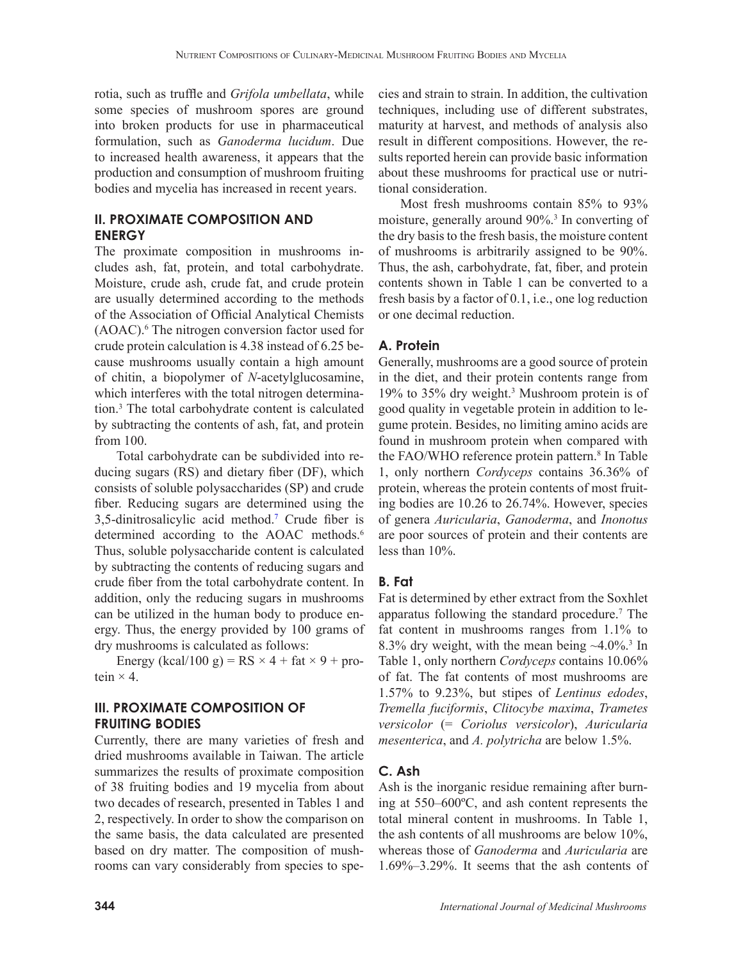rotia, such as truffle and *Grifola umbellata*, while some species of mushroom spores are ground into broken products for use in pharmaceutical formulation, such as *Ganoderma lucidum*. Due to increased health awareness, it appears that the production and consumption of mushroom fruiting bodies and mycelia has increased in recent years.

# **II. PROXIMATE COMPOSITION AND ENERGY**

The proximate composition in mushrooms includes ash, fat, protein, and total carbohydrate. Moisture, crude ash, crude fat, and crude protein are usually determined according to the methods of the Association of Official Analytical Chemists (AOAC).6 The nitrogen conversion factor used for crude protein calculation is 4.38 instead of 6.25 because mushrooms usually contain a high amount of chitin, a biopolymer of *N*-acetylglucosamine, which interferes with the total nitrogen determination.3 The total carbohydrate content is calculated by subtracting the contents of ash, fat, and protein from 100.

Total carbohydrate can be subdivided into reducing sugars (RS) and dietary fiber (DF), which consists of soluble polysaccharides (SP) and crude fiber. Reducing sugars are determined using the 3,5-dinitrosalicylic acid method.7 Crude fiber is determined according to the AOAC methods.<sup>6</sup> Thus, soluble polysaccharide content is calculated by subtracting the contents of reducing sugars and crude fiber from the total carbohydrate content. In addition, only the reducing sugars in mushrooms can be utilized in the human body to produce energy. Thus, the energy provided by 100 grams of dry mushrooms is calculated as follows:

Energy (kcal/100 g) =  $RS \times 4 + fat \times 9 + pro$ tein  $\times$  4.

# **III. PROXIMATE COMPOSITION OF FRUITING BODIES**

Currently, there are many varieties of fresh and dried mushrooms available in Taiwan. The article summarizes the results of proximate composition of 38 fruiting bodies and 19 mycelia from about two decades of research, presented in Tables 1 and 2, respectively. In order to show the comparison on the same basis, the data calculated are presented based on dry matter. The composition of mushrooms can vary considerably from species to species and strain to strain. In addition, the cultivation techniques, including use of different substrates, maturity at harvest, and methods of analysis also result in different compositions. However, the results reported herein can provide basic information about these mushrooms for practical use or nutritional consideration.

Most fresh mushrooms contain 85% to 93% moisture, generally around 90%.3 In converting of the dry basis to the fresh basis, the moisture content of mushrooms is arbitrarily assigned to be 90%. Thus, the ash, carbohydrate, fat, fiber, and protein contents shown in Table 1 can be converted to a fresh basis by a factor of 0.1, i.e., one log reduction or one decimal reduction.

# **A. Protein**

Generally, mushrooms are a good source of protein in the diet, and their protein contents range from 19% to 35% dry weight.3 Mushroom protein is of good quality in vegetable protein in addition to legume protein. Besides, no limiting amino acids are found in mushroom protein when compared with the FAO/WHO reference protein pattern.<sup>8</sup> In Table 1, only northern *Cordyceps* contains 36.36% of protein, whereas the protein contents of most fruiting bodies are 10.26 to 26.74%. However, species of genera *Auricularia*, *Ganoderma*, and *Inonotus* are poor sources of protein and their contents are less than 10%.

## **B. Fat**

Fat is determined by ether extract from the Soxhlet apparatus following the standard procedure.7 The fat content in mushrooms ranges from 1.1% to 8.3% dry weight, with the mean being  $\sim$ 4.0%.<sup>3</sup> In Table 1, only northern *Cordyceps* contains 10.06% of fat. The fat contents of most mushrooms are 1.57% to 9.23%, but stipes of *Lentinus edodes*, *Tremella fuciformis*, *Clitocybe maxima*, *Trametes versicolor* (= *Coriolus versicolor*), *Auricularia mesenterica*, and *A. polytricha* are below 1.5%.

# **C. Ash**

Ash is the inorganic residue remaining after burning at 550–600ºC, and ash content represents the total mineral content in mushrooms. In Table 1, the ash contents of all mushrooms are below 10%, whereas those of *Ganoderma* and *Auricularia* are 1.69%–3.29%. It seems that the ash contents of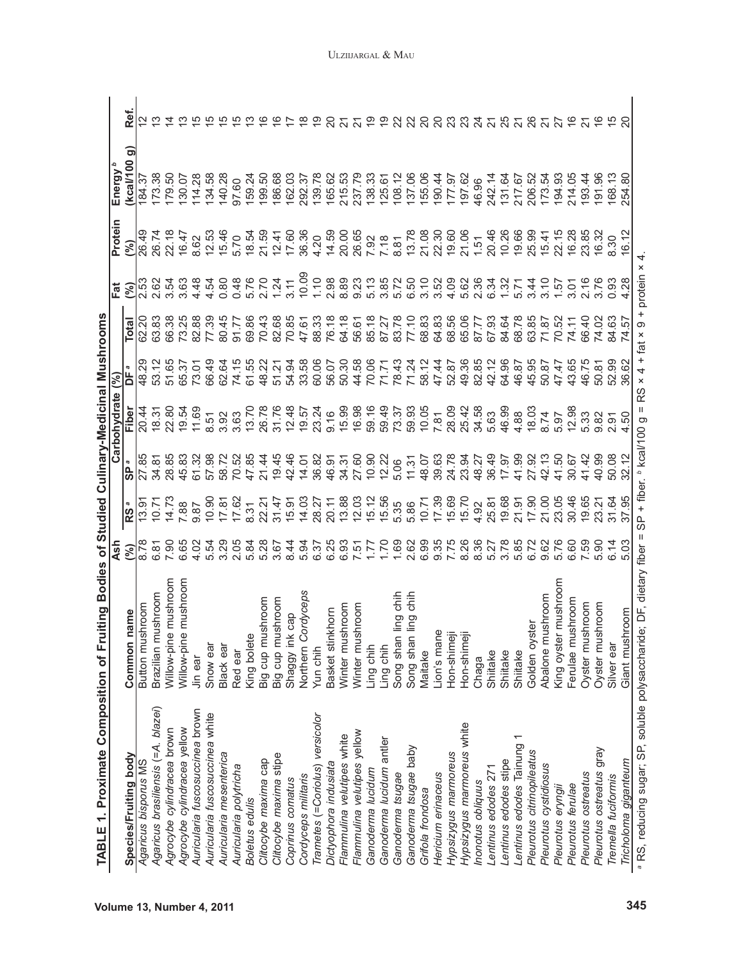|                                           |                      | as<br>4            |                         |                | Carbohydrate                           | (%)             |                | Fat               | Protein                                                                                   | Energy <sup>b</sup> |    |
|-------------------------------------------|----------------------|--------------------|-------------------------|----------------|----------------------------------------|-----------------|----------------|-------------------|-------------------------------------------------------------------------------------------|---------------------|----|
| Species/Fruiting body                     | Common name          | (%)                | RS <sup>a</sup>         | <u>ဇ</u>       | Fiber                                  | DF <sup>a</sup> | <b>Total</b>   | (%)               | (%)                                                                                       | ි<br>(kcal/100      | خ. |
| Agaricus bisporus MS                      | Button mushroom      |                    | 13.9                    | 27.85          | 20.44                                  | 48.29           | S<br>ର୍        |                   | 26.49                                                                                     | 184.37              |    |
| Agaricus brasiliensis (= A. blazei)       | Brazilian mushroom   | 6.81               | 10.7                    | 34.81          | 18.31                                  |                 | 63.83          | 2.62              | 26.74                                                                                     |                     |    |
| Agrocybe cylindracea brown                | Willow-pine mushroom | 7.90               | 14.73                   | 28.85          | 22.80                                  | 51.65           | 66.38          | 3.54              | 22.18                                                                                     | 179.50              |    |
| Agrocybe cylindracea yellow               | Willow-pine mushroom | 6.65               | 7.88                    | 45.83          | 19.54                                  | 65.37           | 73.25          | 3.63              | 16.47                                                                                     | 130.07              |    |
| Auricularia fuscosuccinea brown           | Jin ear              | 4.02               | 9.87                    | 61.32          |                                        | 73.01           | 82.88          | 4.48              | 8.62                                                                                      | 114.28              |    |
| Auricularia fuscosuccinea white           | Snow ear             | 5.54               | 10.90                   | 57.98          | 8.51                                   | 66.49           |                | 4.54              |                                                                                           | 134.58              |    |
| Auricularia mesenterica                   | Black ear            | 3.29               | 17.8'                   | 58.72          | 3.92                                   |                 | 80.45          | 0.80              | 12.53<br>15.46                                                                            | 140.28              |    |
| Auricularia polytricha                    | Red ear              | 2.05               | 17.62                   | 70.52          | 3.63                                   | 62.64<br>74.15  | 91.77          | 0.48              | 5.70                                                                                      | 97.60               |    |
| Boletus edulis                            | King bolete          | 5.84               | 8.31                    | 47.85          | 13.70                                  | 61.55           | 69.86          | 5.76              | 18.54                                                                                     | 159.24              |    |
| Clitocybe maxima cap                      | Big cup mushroom     | 5.28               | 22.2                    | 21.44          |                                        | 48.22           | 70.43          | 2.70              |                                                                                           | 199.50              |    |
| Clitocybe maxima stipe                    | Big cup mushroom     | .თ<br>პ            | 31.47<br>15.91<br>14.03 | 19.45          |                                        | 51.21           | 82.68          | 1.24              |                                                                                           | 186.68              |    |
| Coprinus comatus                          | Shaggy ink cap       | $\frac{4}{3}$      |                         | 42.46          |                                        | 54.94           | 70.85          | 3.11              |                                                                                           | 162.03              |    |
| Cordyceps militaris                       | Northern Cordyceps   | 5.94               |                         | 14.01          |                                        | 33.58           | 47.61          | 10.09             |                                                                                           | 292.37              |    |
| Trametes (=Coriolus) versicolor           | Yun chih             | 6.3                | 28.27                   | 36.82          | 26.78<br>26.78.574<br>26.79.28         | 60.06           | 88.33          | 1.10              |                                                                                           | 139.78              |    |
| Dictyophora indusiata                     | Basket stinkhorn     | 6.25               | 20.11                   | 46.91          |                                        | 56.07           | 76.18          | 2.98              | 21.59<br>21.50<br>20.36<br>20.59<br>21.59                                                 | 165.62              |    |
| Flammulina velutipes white                | Winter mushroom      |                    |                         | 34.31<br>27.60 |                                        | 50.30           | 64.18          | 8.89<br>9.23      | 20.00                                                                                     | 215.53<br>237.79    |    |
| Flammulina velutipes yellow               | Winter mushroom      |                    | $13.03$<br>$12.03$      |                |                                        | 44.58           |                |                   |                                                                                           |                     |    |
| Ganoderma lucidum                         | Ling chih            |                    | 15.12                   | 10.90          |                                        | 70.06           | 56.61<br>85.18 | 5.13              |                                                                                           |                     |    |
| Ganoderma lucidum antler                  | Ling chih            | 0211<br>111<br>111 | 15.56                   | 12.22          | 9.16<br>15.98<br>16.98<br>59.49        | 71.71           | 87.27          | 3.85              | $7.92$<br>$7.8$<br>8.81                                                                   | 138.33<br>125.61    |    |
| Ganoderma tsugae                          | Song shan ling chih  | 1.69               | 5.35                    | 5.06           | $73.37$<br>$59.95$<br>$7.81$<br>$7.81$ | 78.43           | 83.78          | 5.72              |                                                                                           | 108.12              |    |
| Ganoderma tsugae baby                     | Song shan ling chih  | 2.62               | 5.86                    | 11.31          |                                        | 71.24           | 77.10          | 6.50              |                                                                                           |                     |    |
| Grifola frondosa                          | Maitake              | 6.99               | 10.71                   | 48.07          |                                        | 58.12           | 68.83          |                   |                                                                                           | 137.06              |    |
| Hericium erinaceus                        | Lion's mane          | 9.35               | $17.39$<br>$15.69$      | 39.63          |                                        | 47.44           | 64.83          | 3.52              |                                                                                           | 177.97<br>177.97    |    |
| Hypsizygus marmoreus                      | Hon-shimeji          | 7.7E               |                         | 24.78          | 28.09                                  | 52.87           | 68.56          | 4.09              |                                                                                           |                     |    |
| Hypsizygus marmoreus white                | Hon-shimeji          |                    | 15.70                   | 23.94          | 25.42                                  | 49.36           | 65.06          | 5.62              | $\begin{array}{c} 78 \\ 13.08 \\ 21.08 \\ 22.30 \\ 23.60 \\ 24.51 \\ 1.51 \\ \end{array}$ | 197.62              |    |
| Inonotus obliquus                         | Chaga                | 8.36               | 4.92                    | 48.27          | 34.58                                  | 82.85           | 87.77          | 2.36              |                                                                                           | 46.96               |    |
| Lentinus edodes 271                       | Shiitake             | 5.2                | 25.81<br>19.68          | 36.49          | 5.63                                   | 42.12           | 67.93          | 6.34              | $20.4689$<br>$20.4689$<br>$20.469$                                                        | 242.14              |    |
| Lentinus edodes stipe                     | Shiitake             |                    |                         | 17.97          | 46.99                                  | 64.96           | 84.64          | 1.32              |                                                                                           | 131.64              |    |
| $\overline{ }$<br>Lentinus edodes Tainung | Shiitake             | 5.85               | 21.91                   | 41.99          | 4.88                                   | 46.87           | 68.78          |                   |                                                                                           | 217.67              |    |
| Pleurotus citrinopileatus                 | Golden oyster        | 6.72               | 17.90                   | 27.92          | 18.03                                  | 45.95           | 63.85          | 3.44              |                                                                                           | 206.52              |    |
| Pleurotus cystidiosus                     | Abalone mushroom     | 9.62               | 21.00                   | 42.13          | 8.74                                   | 50.87           | 71.87          | $\frac{0}{3}$ .10 | 15.41                                                                                     | 173.54              |    |
| Pleurotus eryngii                         | King oyster mushroom |                    | 23.05                   | 41.50          | 5.97                                   | 47.47           | 70.52          | 1.57              | 22.15                                                                                     | 194.93              |    |
| Pleurotus ferulae                         | Ferulae mushroom     | 6.60               | 30.46                   | 30.67          | 12.98                                  | 43.65           | 74.11          | 3.01              |                                                                                           | 214.05              |    |
| Pleurotus ostreatus                       | Oyster mushroom      | 7.59               | $19.65$<br>$23.21$      | 41.42          | 5.33                                   | 46.75           | 66.40          | 2.16              | 16.28<br>23.85                                                                            | 193.44              |    |
| Pleurotus ostreatus gray                  | Oyster mushroom      | 5.90               |                         | 40.99          | 9.82                                   | 50.81           | 74.02          |                   | 16.32                                                                                     | 191.96              |    |
| Tremella fuciformis                       | Silver ear           |                    | 31.64                   |                | 2.91                                   |                 |                | 0.93              | 8.30                                                                                      |                     |    |
| Tricholoma giganteum                      | Giant mushroom       | 5.03               | 37.95                   | 32.            | 4.50                                   | 36.62           | 57<br>4.       | 4.28              | 16.12                                                                                     | 254.80              |    |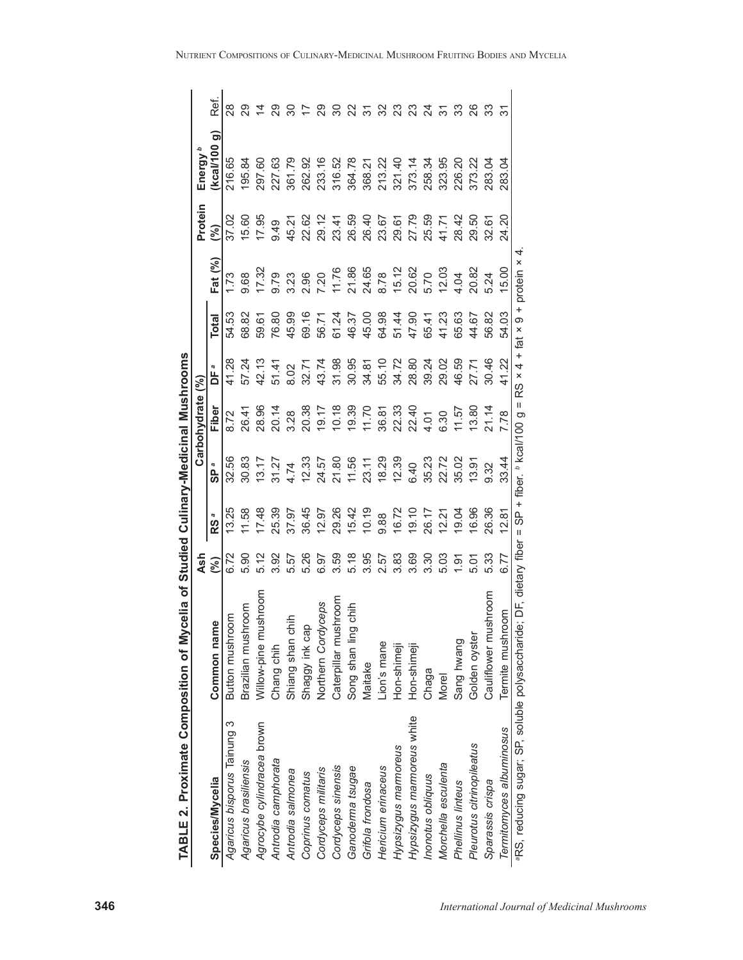| i<br>.     |  |
|------------|--|
| Ì          |  |
| j          |  |
|            |  |
| lia of Stu |  |
| ו<br>ו     |  |
|            |  |
|            |  |
| ſ          |  |
| –<br>ב ∴   |  |

|                                |                           | Ash       | of Studied Culinary-Medicinal Mushrooms |          | Carbohydrate |       |       |        | Protein | Energy                         |                |
|--------------------------------|---------------------------|-----------|-----------------------------------------|----------|--------------|-------|-------|--------|---------|--------------------------------|----------------|
| <b>Species/Mycelia</b>         | Common name               | $(\%)$    | R <sub>S</sub>                          | <b>G</b> | Fiber        | ЪF    | Total | Fat (% | ଟ୍ର     | $\widehat{\sigma}$<br>Kcal/100 | Ref.           |
| က<br>Agaricus bisporus Tainung | Button mushroom           | 6.72      | 13.25                                   | 32.56    | 8.72         | 41.28 | 54.53 | 1.73   | 37.02   | 216.65                         | 88             |
| Agaricus brasiliensis          | Brazilian mushroom        | 5.90      | 11.58                                   | 30.83    | 26.41        | 57.24 | 68.82 | 9.68   | 15.60   | 195.84                         |                |
| Agrocybe cylindracea brown     | Ξ<br>Willow-pine mushroor | 5.12      | 17.48                                   | 13.17    | 28.96        | 42.13 | 59.61 | 17.32  | 17.95   | 297.60                         | $\overline{4}$ |
| Antrodia camphorata            | Chang chih                | 3.92      | 25.39                                   | 31.27    | 20.14        | 51.41 | 76.80 | 9.79   | 0.49    | 227.63                         | 29             |
| Antrodia salmonea              | Shiang shan chih          | <u>57</u> | 37.97                                   | 4.74     | 3.28         | 8.02  | 45.99 | 3.23   | 45.21   | 361.79                         | 80             |
| Coprinus comatus               | Shaggy ink cap            | 5.26      | 36.45                                   | 12.33    | 20.38        | 32.71 | 69.16 | 2.96   | 22.62   | 262.92                         | 7              |
| Cordyceps militaris            | Northern Cordyceps        | 6.97      | 12.97                                   | 24.57    | 19.17        | 43.74 | 56.71 | 7.20   | 29.12   | 233.16                         | 29             |
| Cordyceps sinensis             | Caterpillar mushroom      | 3.59      | 29.26                                   | 21.80    | 10.18        | 31.98 | 61.24 | 11.76  | 23.41   | 316.52                         | 30             |
| Ganoderma tsugae               | Song shan ling chih       | 5.18      | 15.42                                   | 11.56    | 19.39        | 30.95 | 46.37 | 21.86  | 26.59   | 364.78                         | 22             |
| Grifola frondosa               | Maitake                   | 3.95      | 10.19                                   | 23.11    | 11.70        | 34.81 | 45.00 | 24.65  | 26.40   | 368.21                         | 75             |
| Hericium erinaceus             | Lion's mane               | 2.57      | 9.88                                    | 18.29    | 36.81        | 55.10 | 64.98 | 8.78   | 23.67   | 213.22                         | 32             |
| Hypsizygus marmoreus           | Hon-shimeji               | 3.83      | 16.72                                   | 12.39    | 22.33        | 34.72 | 51.44 | 15.12  | 29.61   | 321.40                         | ಔ              |
| Hypsizygus marmoreus white     | Hon-shimeji               | 3.69      | 19.10                                   | 6.40     | 22.40        | 28.80 | 47.90 | 20.62  | 27.79   | 373.14                         | ಔ              |
| Inonotus obliquus              | Chaga                     | 3.30      | 26.17                                   | 35.23    | 4.01         | 39.24 | 65.41 | 5.70   | 25.59   | 258.34                         | $\overline{c}$ |
| Morchella esculenta            | Morel                     | 5.03      | 12.21                                   | 22.72    | 6.30         | 29.02 | 41.23 | 12.03  | 41.71   | 323.95                         | 75             |
| Phellinus linteus              | Sang hwang                | 1.91      | 19.04                                   | 35.02    | 11.57        | 46.59 | 65.63 | 4.04   | 28.42   | 226.20                         | 33             |
| Pleurotus citrinopileatus      | Golden oyster             | 5.01      | 16.96                                   | 13.91    | 13.80        | 27.71 | 44.67 | 20.82  | 29.50   | 373.22                         | 26             |
| Sparassis crispa               | Cauliflower mushroom      | 5.33      | 26.36                                   | 9.32     | 21.14        | 30.46 | 56.82 | 5.24   | 32.61   | 283.04                         | ္က             |
| Termitomyces albuminosus       | Termite mushroom          | 6.77      | 12.81                                   | 33.44    | 7.78         | 41.22 | 54.03 | 15.00  | 24.20   | 283.04                         |                |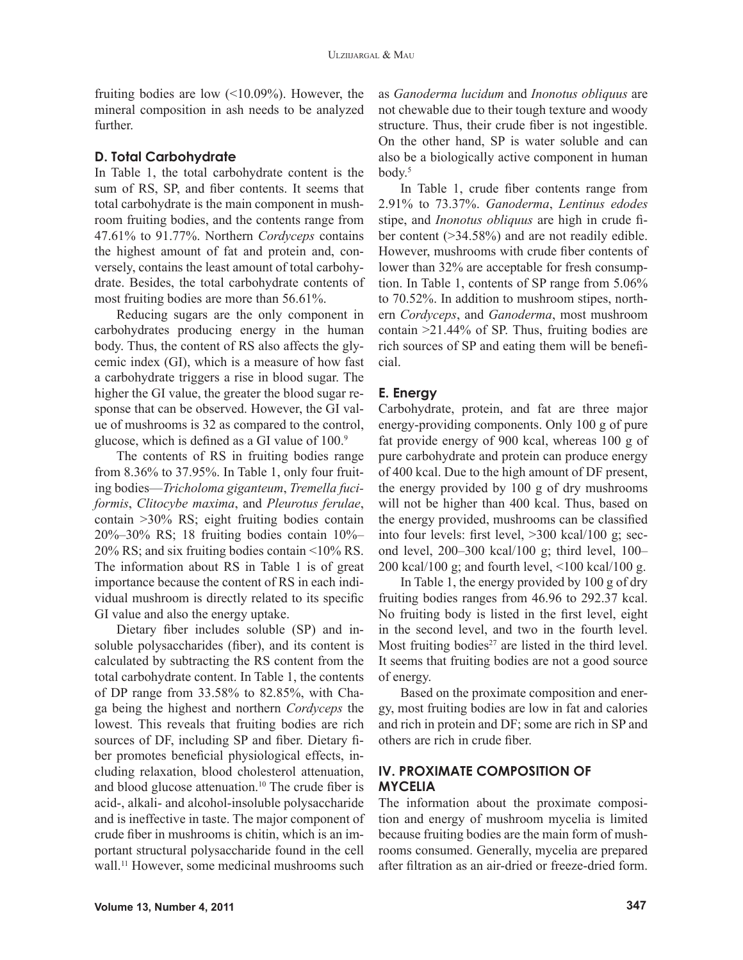fruiting bodies are low (<10.09%). However, the mineral composition in ash needs to be analyzed further.

#### **D. Total Carbohydrate**

In Table 1, the total carbohydrate content is the sum of RS, SP, and fiber contents. It seems that total carbohydrate is the main component in mushroom fruiting bodies, and the contents range from 47.61% to 91.77%. Northern *Cordyceps* contains the highest amount of fat and protein and, conversely, contains the least amount of total carbohydrate. Besides, the total carbohydrate contents of most fruiting bodies are more than 56.61%.

Reducing sugars are the only component in carbohydrates producing energy in the human body. Thus, the content of RS also affects the glycemic index (GI), which is a measure of how fast a carbohydrate triggers a rise in blood sugar. The higher the GI value, the greater the blood sugar response that can be observed. However, the GI value of mushrooms is 32 as compared to the control, glucose, which is defined as a GI value of 100.9

The contents of RS in fruiting bodies range from 8.36% to 37.95%. In Table 1, only four fruiting bodies—*Tricholoma giganteum*, *Tremella fuciformis*, *Clitocybe maxima*, and *Pleurotus ferulae*, contain >30% RS; eight fruiting bodies contain 20%–30% RS; 18 fruiting bodies contain 10%– 20% RS; and six fruiting bodies contain <10% RS. The information about RS in Table 1 is of great importance because the content of RS in each individual mushroom is directly related to its specific GI value and also the energy uptake.

Dietary fiber includes soluble (SP) and insoluble polysaccharides (fiber), and its content is calculated by subtracting the RS content from the total carbohydrate content. In Table 1, the contents of DP range from 33.58% to 82.85%, with Chaga being the highest and northern *Cordyceps* the lowest. This reveals that fruiting bodies are rich sources of DF, including SP and fiber. Dietary fiber promotes beneficial physiological effects, including relaxation, blood cholesterol attenuation, and blood glucose attenuation.10 The crude fiber is acid-, alkali- and alcohol-insoluble polysaccharide and is ineffective in taste. The major component of crude fiber in mushrooms is chitin, which is an important structural polysaccharide found in the cell wall.<sup>11</sup> However, some medicinal mushrooms such

as *Ganoderma lucidum* and *Inonotus obliquus* are not chewable due to their tough texture and woody structure. Thus, their crude fiber is not ingestible. On the other hand, SP is water soluble and can also be a biologically active component in human  $body.5$ 

In Table 1, crude fiber contents range from 2.91% to 73.37%. *Ganoderma*, *Lentinus edodes* stipe, and *Inonotus obliquus* are high in crude fiber content (>34.58%) and are not readily edible. However, mushrooms with crude fiber contents of lower than 32% are acceptable for fresh consumption. In Table 1, contents of SP range from 5.06% to 70.52%. In addition to mushroom stipes, northern *Cordyceps*, and *Ganoderma*, most mushroom contain >21.44% of SP. Thus, fruiting bodies are rich sources of SP and eating them will be beneficial.

#### **E. Energy**

Carbohydrate, protein, and fat are three major energy-providing components. Only 100 g of pure fat provide energy of 900 kcal, whereas 100 g of pure carbohydrate and protein can produce energy of 400 kcal. Due to the high amount of DF present, the energy provided by 100 g of dry mushrooms will not be higher than 400 kcal. Thus, based on the energy provided, mushrooms can be classified into four levels: first level, >300 kcal/100 g; second level, 200–300 kcal/100 g; third level, 100– 200 kcal/100 g; and fourth level, <100 kcal/100 g.

In Table 1, the energy provided by 100 g of dry fruiting bodies ranges from 46.96 to 292.37 kcal. No fruiting body is listed in the first level, eight in the second level, and two in the fourth level. Most fruiting bodies<sup> $27$ </sup> are listed in the third level. It seems that fruiting bodies are not a good source of energy.

Based on the proximate composition and energy, most fruiting bodies are low in fat and calories and rich in protein and DF; some are rich in SP and others are rich in crude fiber.

## **IV. PROXIMATE COMPOSITION OF MYCELIA**

The information about the proximate composition and energy of mushroom mycelia is limited because fruiting bodies are the main form of mushrooms consumed. Generally, mycelia are prepared after filtration as an air-dried or freeze-dried form.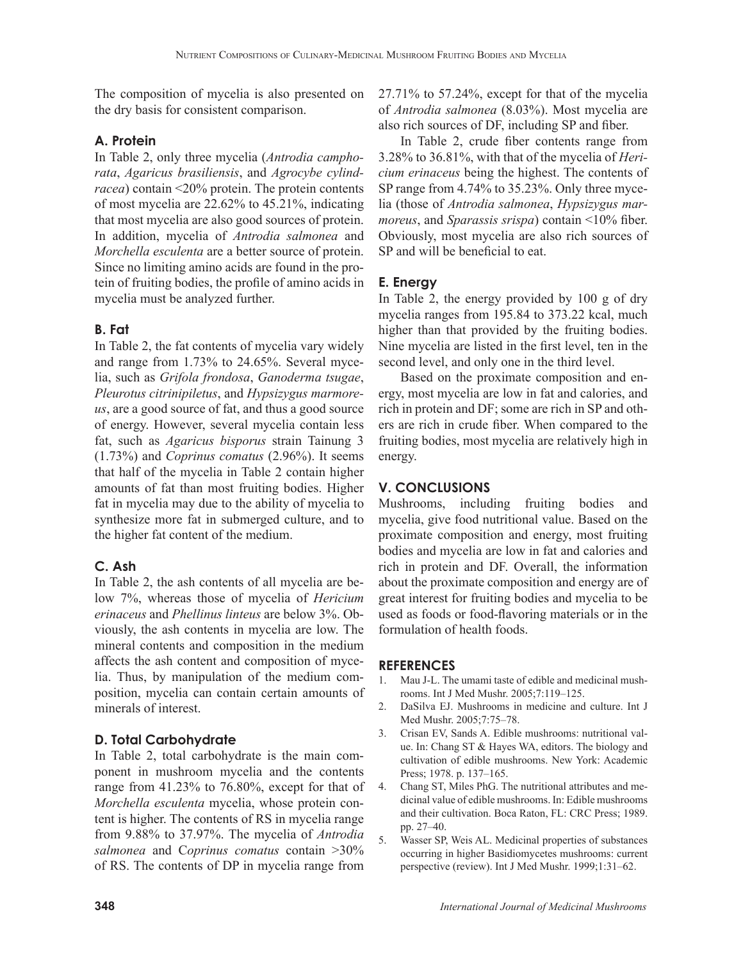The composition of mycelia is also presented on the dry basis for consistent comparison.

# **A. Protein**

In Table 2, only three mycelia (*Antrodia camphorata*, *Agaricus brasiliensis*, and *Agrocybe cylindracea*) contain <20% protein. The protein contents of most mycelia are 22.62% to 45.21%, indicating that most mycelia are also good sources of protein. In addition, mycelia of *Antrodia salmonea* and *Morchella esculenta* are a better source of protein. Since no limiting amino acids are found in the protein of fruiting bodies, the profile of amino acids in mycelia must be analyzed further.

# **B. Fat**

In Table 2, the fat contents of mycelia vary widely and range from 1.73% to 24.65%. Several mycelia, such as *Grifola frondosa*, *Ganoderma tsugae*, *Pleurotus citrinipiletus*, and *Hypsizygus marmoreus*, are a good source of fat, and thus a good source of energy. However, several mycelia contain less fat, such as *Agaricus bisporus* strain Tainung 3 (1.73%) and *Coprinus comatus* (2.96%). It seems that half of the mycelia in Table 2 contain higher amounts of fat than most fruiting bodies. Higher fat in mycelia may due to the ability of mycelia to synthesize more fat in submerged culture, and to the higher fat content of the medium.

# **C. Ash**

In Table 2, the ash contents of all mycelia are below 7%, whereas those of mycelia of *Hericium erinaceus* and *Phellinus linteus* are below 3%. Obviously, the ash contents in mycelia are low. The mineral contents and composition in the medium affects the ash content and composition of mycelia. Thus, by manipulation of the medium composition, mycelia can contain certain amounts of minerals of interest.

# **D. Total Carbohydrate**

In Table 2, total carbohydrate is the main component in mushroom mycelia and the contents range from 41.23% to 76.80%, except for that of *Morchella esculenta* mycelia, whose protein content is higher. The contents of RS in mycelia range from 9.88% to 37.97%. The mycelia of *Antrodia salmonea* and C*oprinus comatus* contain >30% of RS. The contents of DP in mycelia range from

27.71% to 57.24%, except for that of the mycelia of *Antrodia salmonea* (8.03%). Most mycelia are also rich sources of DF, including SP and fiber.

In Table 2, crude fiber contents range from 3.28% to 36.81%, with that of the mycelia of *Hericium erinaceus* being the highest. The contents of SP range from 4.74% to 35.23%. Only three mycelia (those of *Antrodia salmonea*, *Hypsizygus marmoreus*, and *Sparassis srispa*) contain <10% fiber. Obviously, most mycelia are also rich sources of SP and will be beneficial to eat.

# **E. Energy**

In Table 2, the energy provided by 100 g of dry mycelia ranges from 195.84 to 373.22 kcal, much higher than that provided by the fruiting bodies. Nine mycelia are listed in the first level, ten in the second level, and only one in the third level.

Based on the proximate composition and energy, most mycelia are low in fat and calories, and rich in protein and DF; some are rich in SP and others are rich in crude fiber. When compared to the fruiting bodies, most mycelia are relatively high in energy.

# **V. CONCLUSIONS**

Mushrooms, including fruiting bodies and mycelia, give food nutritional value. Based on the proximate composition and energy, most fruiting bodies and mycelia are low in fat and calories and rich in protein and DF. Overall, the information about the proximate composition and energy are of great interest for fruiting bodies and mycelia to be used as foods or food-flavoring materials or in the formulation of health foods.

## **REFERENCES**

- 1. Mau J-L. The umami taste of edible and medicinal mushrooms. Int J Med Mushr. 2005;7:119–125.
- 2. DaSilva EJ. Mushrooms in medicine and culture. Int J Med Mushr. 2005;7:75–78.
- 3. Crisan EV, Sands A. Edible mushrooms: nutritional value. In: Chang ST & Hayes WA, editors. The biology and cultivation of edible mushrooms. New York: Academic Press; 1978. p. 137–165.
- 4. Chang ST, Miles PhG. The nutritional attributes and medicinal value of edible mushrooms. In: Edible mushrooms and their cultivation. Boca Raton, FL: CRC Press; 1989. pp. 27–40.
- 5. Wasser SP, Weis AL. Medicinal properties of substances occurring in higher Basidiomycetes mushrooms: current perspective (review). Int J Med Mushr. 1999;1:31–62.